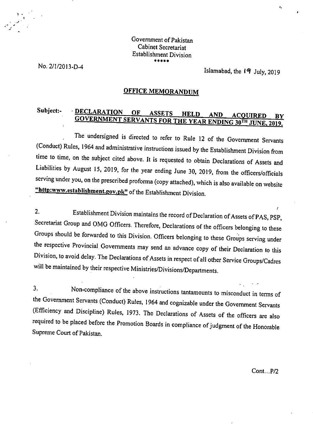#### Government of Pakistan Cabinet Secretariat Establishment Division *so\*\**

No. 2/1/2013-D-4

Islamabad, the 19 July, 2019

# **OFFICE MEMORANDUM**

# **Subject:- • DECLARATION OF ASSETS HELD AND ACOUIRED BY GOVERNMENT SERVANTS FOR THE YEAR ENDING 30TH JUNE, 2019.**

The undersigned is directed to refer to Rule 12 of the Government Servants (Conduct) Rules, 1964 and administrative instructions issued by the Establishment Division from time to time, on the subject cited above. It is requested to obtain Declarations of Assets and Liabilities by August 15, 2019, for the year ending June 30, 2019, from the officers/officials serving under you, on the prescribed proforma (copy attached), which is also available on website "http:www.establishment.gov.pk" of the Establishment Division.

 $2.$ Establishment Division maintains the record of Declaration of Assets of PAS, PSP, Secretariat Group and OMG Officers. Therefore, Declarations of the officers belonging to these Groups should be forwarded to this Division. Officers belonging to these Groups serving under the respective Provincial Governments may send an advance copy of their Declaration to this Division, to avoid delay. The Declarations of Assets in respect of all other Service Groups/Cadres will be maintained by their respective Ministries/Divisions/Departments.

 $3<sub>1</sub>$ Non-compliance of the above instructions tantamounts to misconduct in terms of the Government Servants (Conduct) Rules, 1964 and cognizable under the Government Servants (Efficiency and Discipline) Rules, 1973. The Declarations of Assets of the officers are also required to be placed before the Promotion Boards in compliance of judgment of the Honorable Supreme Court of Pakistan.

Cont...P/2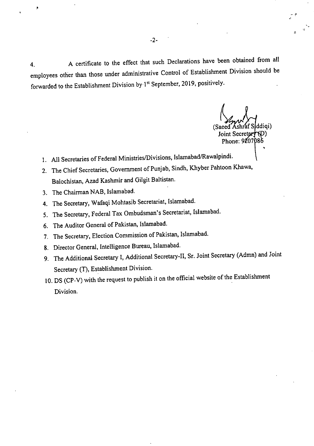4. A certificate to the effect that such Declarations have been obtained from all employees other than those under administrative Control of Establishment Division should be forwarded to the Establishment Division by 1<sup>st</sup> September, 2019, positively.

(Saee Joint Secretar Phone: 9207086 ddiqi)

- All Secretaries of Federal Ministries/Divisions, Islamabad/Rawalpindi.
- 2. The Chief Secretaries, Government of Punjab, Sindh, Khyber Pahtoon Khawa, Balochistan, Azad Kashmir and Gilgit Baltistan.
- 3. The Chairman NAB, Islamabad.
- The Secretary, Wafaqi Mohtasib Secretariat, Islamabad.
- 5. The Secretary, Federal Tax Ombudsman's Secretariat, Islamabad.
- The Auditor General of Pakistan, Islamabad.
- 7. The Secretary, Election Commission of Pakistan, Islamabad.
- 8. Director General, Intelligence Bureau, Islamabad.
- The Additional Secretary I, Additional Secretary-II, Sr. Joint Secretary (Admn) and Joint Secretary (T), Establishment Division.
- 10. DS (CP-V) with the request to publish it on the official website of the Establishment Division.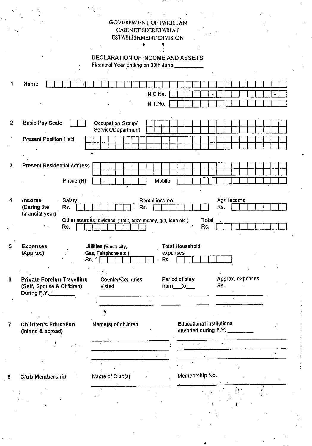## GOVERNMENT OF PAKISTAN CABINET SECRETARIAT ESTABLISHMENT DIVISION

۰

l.

DECLARATION OF INCOME AND ASSETS Financial Year Ending on 30th June

**4** 

| 1              | Name                                                                          |                                                                |                                                              |
|----------------|-------------------------------------------------------------------------------|----------------------------------------------------------------|--------------------------------------------------------------|
|                |                                                                               | NIC No.                                                        |                                                              |
|                |                                                                               | N.T.No.                                                        |                                                              |
|                |                                                                               |                                                                |                                                              |
| $\overline{2}$ | <b>Basic Pay Scale</b>                                                        | Occupation Group/<br>Service/Department                        |                                                              |
|                | <b>Present Position Held</b>                                                  |                                                                |                                                              |
|                |                                                                               | rg.                                                            |                                                              |
| 3              | <b>Present Residential Address</b>                                            |                                                                |                                                              |
|                |                                                                               |                                                                |                                                              |
|                | Phone (R)                                                                     | Mobile                                                         |                                                              |
|                |                                                                               |                                                                |                                                              |
| 4              | <b>Salary</b><br>Income<br>(During the<br>Rs.                                 | Rental income<br>Rs.                                           | Agrl income<br>Rs.                                           |
|                | financial year)                                                               | Other sources (dividend, profit, prize money, gift, loan etc.) | Total                                                        |
|                | Rs.                                                                           |                                                                | Rs.                                                          |
| 5              | <b>Expenses</b><br>(Approx.)<br>Rs.                                           | <b>Utilities (Electricity,</b><br>Gas, Telephone elc.)<br>Rs.  | <b>Total Household</b><br>expenses                           |
|                |                                                                               |                                                                |                                                              |
| 6              | <b>Private Foreign Travelling</b><br>(Self, Spouse & Children)<br>During F.Y. | Country/Countries<br>visted                                    | Approx. expenses<br>Period of stay<br>Rs.<br>$from$ ___to___ |
|                |                                                                               |                                                                |                                                              |
|                |                                                                               |                                                                |                                                              |
| 7              | <b>Children's Education</b><br>(inland & abroad)                              | Name(s) of children                                            | <b>Educational Institutions</b><br>attended during F.Y.      |
|                |                                                                               |                                                                | $\ddot{\phantom{0}}$                                         |
|                |                                                                               |                                                                |                                                              |
|                |                                                                               | $\cdot$                                                        |                                                              |
| 8              | <b>Club Membership</b>                                                        | Name of Club(s)                                                | Memebrship No.                                               |
|                |                                                                               |                                                                |                                                              |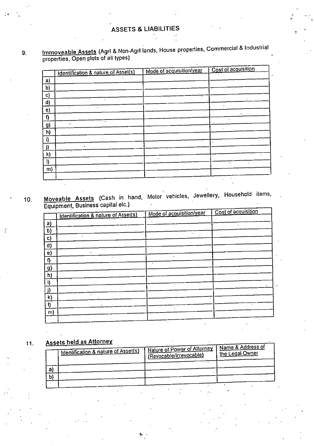### 9. Immoveable Assets (Agri & Non-Agri lands, House properties, Commercial & Industrial properties, Open plots of all types)

|           |                                     | Cost of acquisition      |
|-----------|-------------------------------------|--------------------------|
|           |                                     |                          |
|           |                                     |                          |
|           |                                     |                          |
|           |                                     |                          |
|           |                                     |                          |
|           |                                     |                          |
|           |                                     |                          |
| $\bullet$ |                                     |                          |
|           |                                     |                          |
|           |                                     |                          |
| $\cdot$   |                                     |                          |
| $\cdot$   |                                     |                          |
|           |                                     |                          |
|           |                                     |                          |
|           |                                     | ٠<br>$\bullet$           |
|           | Identification & nature of Asset(s) | Mode of acquisition/year |

10. Moveable Assets (Cash in hand, Motor vehicles, Jewellery, Household items, Equipment, Business capital etc.)  $\qquad \qquad$ 

| - 1 .     | $\cdot$ .                                      | Mode of acquisition/year | Cost of acquisition  |
|-----------|------------------------------------------------|--------------------------|----------------------|
|           | <b>Identification &amp; nature of Asset(s)</b> |                          |                      |
| a)        |                                                | ٠                        |                      |
| b)        |                                                |                          |                      |
| c)        |                                                |                          |                      |
| d)        |                                                |                          |                      |
| e)        |                                                |                          |                      |
| I)        | k.                                             | ٠<br>$\bullet$           |                      |
| <u>g)</u> |                                                |                          |                      |
| h)        |                                                |                          |                      |
| i)        |                                                |                          |                      |
|           |                                                |                          |                      |
| k)        |                                                |                          |                      |
| I)        | $\blacksquare$                                 |                          |                      |
| m)        |                                                |                          |                      |
|           |                                                |                          | $\ddot{\phantom{1}}$ |

# 11. Assets held as Attorney

|    | I Identification & nature of Asset(s) | Nature of Power of Attorney<br>(Revocable/Irrevocable) | Nam <u>e &amp; Address of</u><br>'lhe Legal Owner |
|----|---------------------------------------|--------------------------------------------------------|---------------------------------------------------|
|    |                                       |                                                        |                                                   |
| a) |                                       |                                                        |                                                   |
| b) |                                       |                                                        |                                                   |
|    |                                       |                                                        |                                                   |